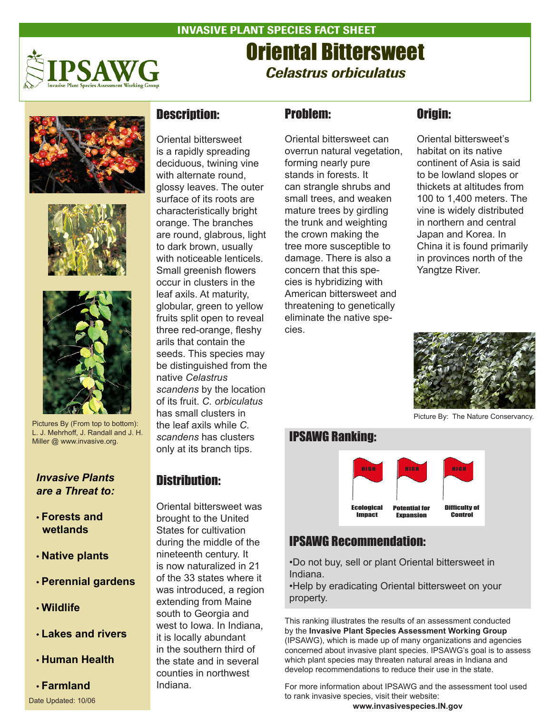

# INVASIVE PLANT SPECIES FACT SHEET Oriental Bittersweet *Celastrus orbiculatus*







Pictures By (From top to bottom): L. J. Mehrhoff, J. Randall and J. H. Miller @ www.invasive.org.

#### *Invasive Plants are a Threat to:*

- **Forests and wetlands**
- **Native plants**
- **Perennial gardens**
- **Wildlife**
- **Lakes and rivers**
- **Human Health**

# • **Farmland**

### Description:

Oriental bittersweet is a rapidly spreading deciduous, twining vine with alternate round, glossy leaves. The outer surface of its roots are characteristically bright orange. The branches are round, glabrous, light to dark brown, usually with noticeable lenticels. Small greenish flowers occur in clusters in the leaf axils. At maturity, globular, green to yellow fruits split open to reveal three red-orange, fleshy arils that contain the seeds. This species may be distinguished from the native *Celastrus scandens* by the location of its fruit. *C. orbiculatus* has small clusters in the leaf axils while *C. scandens* has clusters only at its branch tips.

### Distribution:

Oriental bittersweet was brought to the United States for cultivation during the middle of the nineteenth century. It is now naturalized in 21 of the 33 states where it was introduced, a region extending from Maine south to Georgia and west to Iowa. In Indiana, it is locally abundant in the southern third of the state and in several counties in northwest Indiana.

# Problem:

Oriental bittersweet can overrun natural vegetation, forming nearly pure stands in forests. It can strangle shrubs and small trees, and weaken mature trees by girdling the trunk and weighting the crown making the tree more susceptible to damage. There is also a concern that this species is hybridizing with American bittersweet and threatening to genetically eliminate the native species.

## Origin:

Oriental bittersweet's habitat on its native continent of Asia is said to be lowland slopes or thickets at altitudes from 100 to 1,400 meters. The vine is widely distributed in northern and central Japan and Korea. In China it is found primarily in provinces north of the Yangtze River.



Picture By: The Nature Conservancy.

### IPSAWG Ranking:



# IPSAWG Recommendation:

•Do not buy, sell or plant Oriental bittersweet in Indiana.

•Help by eradicating Oriental bittersweet on your property.

This ranking illustrates the results of an assessment conducted by the **Invasive Plant Species Assessment Working Group** (IPSAWG), which is made up of many organizations and agencies concerned about invasive plant species. IPSAWG's goal is to assess which plant species may threaten natural areas in Indiana and develop recommendations to reduce their use in the state.

For more information about IPSAWG and the assessment tool used to rank invasive species, visit their website: Date Updated: 10/06<br>**Date Updated: 10/06 WWW.invasivespecies.IN.gov** Date Updated: 10/06